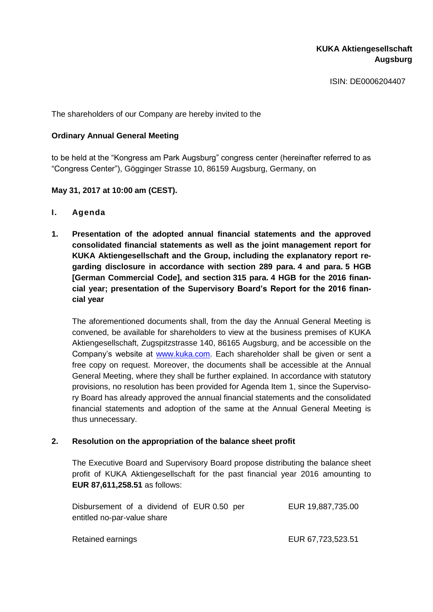ISIN: DE0006204407

The shareholders of our Company are hereby invited to the

### **Ordinary Annual General Meeting**

to be held at the "Kongress am Park Augsburg" congress center (hereinafter referred to as "Congress Center"), Gögginger Strasse 10, 86159 Augsburg, Germany, on

## **May 31, 2017 at 10:00 am (CEST).**

- **I. Agenda**
- **1. Presentation of the adopted annual financial statements and the approved consolidated financial statements as well as the joint management report for KUKA Aktiengesellschaft and the Group, including the explanatory report regarding disclosure in accordance with section 289 para. 4 and para. 5 HGB [German Commercial Code], and section 315 para. 4 HGB for the 2016 financial year; presentation of the Supervisory Board's Report for the 2016 financial year**

The aforementioned documents shall, from the day the Annual General Meeting is convened, be available for shareholders to view at the business premises of KUKA Aktiengesellschaft, Zugspitzstrasse 140, 86165 Augsburg, and be accessible on the Company's website at [www.kuka.com.](http://www.kuka.com/) Each shareholder shall be given or sent a free copy on request. Moreover, the documents shall be accessible at the Annual General Meeting, where they shall be further explained. In accordance with statutory provisions, no resolution has been provided for Agenda Item 1, since the Supervisory Board has already approved the annual financial statements and the consolidated financial statements and adoption of the same at the Annual General Meeting is thus unnecessary.

### **2. Resolution on the appropriation of the balance sheet profit**

The Executive Board and Supervisory Board propose distributing the balance sheet profit of KUKA Aktiengesellschaft for the past financial year 2016 amounting to **EUR 87,611,258.51** as follows:

|                             | Disbursement of a dividend of EUR 0.50 per | EUR 19,887,735.00 |
|-----------------------------|--------------------------------------------|-------------------|
| entitled no-par-value share |                                            |                   |
|                             |                                            |                   |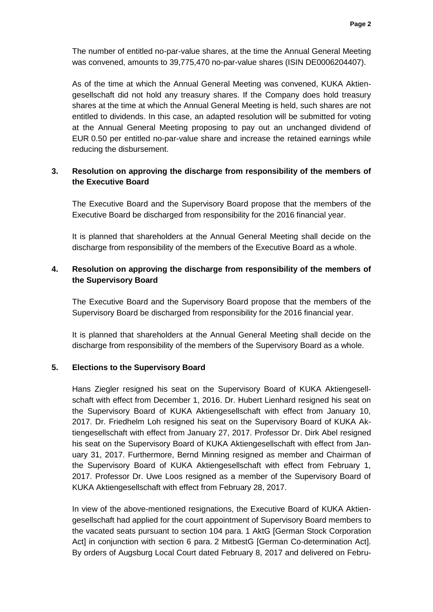The number of entitled no-par-value shares, at the time the Annual General Meeting was convened, amounts to 39,775,470 no-par-value shares (ISIN DE0006204407).

As of the time at which the Annual General Meeting was convened, KUKA Aktiengesellschaft did not hold any treasury shares. If the Company does hold treasury shares at the time at which the Annual General Meeting is held, such shares are not entitled to dividends. In this case, an adapted resolution will be submitted for voting at the Annual General Meeting proposing to pay out an unchanged dividend of EUR 0.50 per entitled no-par-value share and increase the retained earnings while reducing the disbursement.

# **3. Resolution on approving the discharge from responsibility of the members of the Executive Board**

The Executive Board and the Supervisory Board propose that the members of the Executive Board be discharged from responsibility for the 2016 financial year.

It is planned that shareholders at the Annual General Meeting shall decide on the discharge from responsibility of the members of the Executive Board as a whole.

# **4. Resolution on approving the discharge from responsibility of the members of the Supervisory Board**

The Executive Board and the Supervisory Board propose that the members of the Supervisory Board be discharged from responsibility for the 2016 financial year.

It is planned that shareholders at the Annual General Meeting shall decide on the discharge from responsibility of the members of the Supervisory Board as a whole.

### **5. Elections to the Supervisory Board**

Hans Ziegler resigned his seat on the Supervisory Board of KUKA Aktiengesellschaft with effect from December 1, 2016. Dr. Hubert Lienhard resigned his seat on the Supervisory Board of KUKA Aktiengesellschaft with effect from January 10, 2017. Dr. Friedhelm Loh resigned his seat on the Supervisory Board of KUKA Aktiengesellschaft with effect from January 27, 2017. Professor Dr. Dirk Abel resigned his seat on the Supervisory Board of KUKA Aktiengesellschaft with effect from January 31, 2017. Furthermore, Bernd Minning resigned as member and Chairman of the Supervisory Board of KUKA Aktiengesellschaft with effect from February 1, 2017. Professor Dr. Uwe Loos resigned as a member of the Supervisory Board of KUKA Aktiengesellschaft with effect from February 28, 2017.

In view of the above-mentioned resignations, the Executive Board of KUKA Aktiengesellschaft had applied for the court appointment of Supervisory Board members to the vacated seats pursuant to section 104 para. 1 AktG [German Stock Corporation Act] in conjunction with section 6 para. 2 MitbestG [German Co-determination Act]. By orders of Augsburg Local Court dated February 8, 2017 and delivered on Febru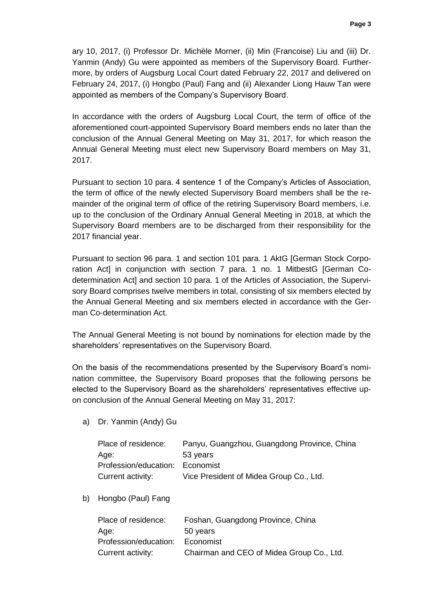ary 10, 2017, (i) Professor Dr. Michèle Morner, (ii) Min (Francoise) Liu and (iii) Dr. Yanmin (Andy) Gu were appointed as members of the Supervisory Board. Furthermore, by orders of Augsburg Local Court dated February 22, 2017 and delivered on February 24, 2017, (i) Hongbo (Paul) Fang and (ii) Alexander Liong Hauw Tan were appointed as members of the Company's Supervisory Board.

In accordance with the orders of Augsburg Local Court, the term of office of the aforementioned court-appointed Supervisory Board members ends no later than the conclusion of the Annual General Meeting on May 31, 2017, for which reason the Annual General Meeting must elect new Supervisory Board members on May 31, 2017.

Pursuant to section 10 para. 4 sentence 1 of the Company's Articles of Association, the term of office of the newly elected Supervisory Board members shall be the remainder of the original term of office of the retiring Supervisory Board members, i.e. up to the conclusion of the Ordinary Annual General Meeting in 2018, at which the Supervisory Board members are to be discharged from their responsibility for the 2017 financial year.

Pursuant to section 96 para. 1 and section 101 para. 1 AktG [German Stock Corporation Act] in conjunction with section 7 para. 1 no. 1 MitbestG [German Codetermination Act] and section 10 para. 1 of the Articles of Association, the Supervisory Board comprises twelve members in total, consisting of six members elected by the Annual General Meeting and six members elected in accordance with the German Co-determination Act.

The Annual General Meeting is not bound by nominations for election made by the shareholders' representatives on the Supervisory Board.

On the basis of the recommendations presented by the Supervisory Board's nomination committee, the Supervisory Board proposes that the following persons be elected to the Supervisory Board as the shareholders' representatives effective upon conclusion of the Annual General Meeting on May 31, 2017:

a) Dr. Yanmin (Andy) Gu

| Place of residence:             | Panyu, Guangzhou, Guangdong Province, China |
|---------------------------------|---------------------------------------------|
| Age:                            | 53 years                                    |
| Profession/education: Economist |                                             |
| Current activity:               | Vice President of Midea Group Co., Ltd.     |

b) Hongbo (Paul) Fang

| Place of residence:   | Foshan, Guangdong Province, China         |
|-----------------------|-------------------------------------------|
| Age:                  | 50 years                                  |
| Profession/education: | Economist                                 |
| Current activity:     | Chairman and CEO of Midea Group Co., Ltd. |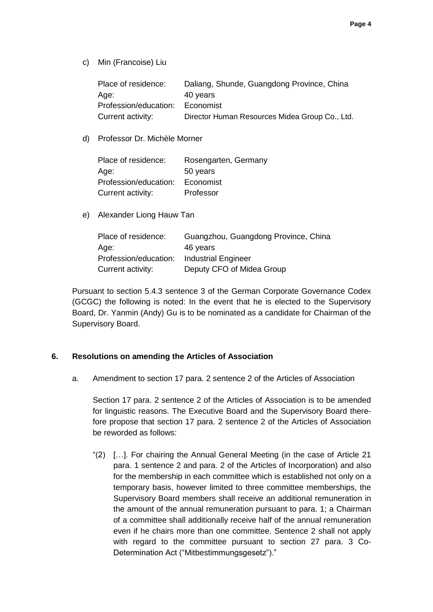c) Min (Francoise) Liu

| Place of residence:   | Daliang, Shunde, Guangdong Province, China     |
|-----------------------|------------------------------------------------|
| Age:                  | 40 years                                       |
| Profession/education: | Economist                                      |
| Current activity:     | Director Human Resources Midea Group Co., Ltd. |

d) Professor Dr. Michèle Morner

| Place of residence:   | Rosengarten, Germany |
|-----------------------|----------------------|
| Age:                  | 50 years             |
| Profession/education: | Economist            |
| Current activity:     | Professor            |

e) Alexander Liong Hauw Tan

| Place of residence:   | Guangzhou, Guangdong Province, China |
|-----------------------|--------------------------------------|
| Age:                  | 46 years                             |
| Profession/education: | <b>Industrial Engineer</b>           |
| Current activity:     | Deputy CFO of Midea Group            |

Pursuant to section 5.4.3 sentence 3 of the German Corporate Governance Codex (GCGC) the following is noted: In the event that he is elected to the Supervisory Board, Dr. Yanmin (Andy) Gu is to be nominated as a candidate for Chairman of the Supervisory Board.

### **6. Resolutions on amending the Articles of Association**

a. Amendment to section 17 para. 2 sentence 2 of the Articles of Association

Section 17 para. 2 sentence 2 of the Articles of Association is to be amended for linguistic reasons. The Executive Board and the Supervisory Board therefore propose that section 17 para. 2 sentence 2 of the Articles of Association be reworded as follows:

"(2) […]. For chairing the Annual General Meeting (in the case of Article 21 para. 1 sentence 2 and para. 2 of the Articles of Incorporation) and also for the membership in each committee which is established not only on a temporary basis, however limited to three committee memberships, the Supervisory Board members shall receive an additional remuneration in the amount of the annual remuneration pursuant to para. 1; a Chairman of a committee shall additionally receive half of the annual remuneration even if he chairs more than one committee. Sentence 2 shall not apply with regard to the committee pursuant to section 27 para. 3 Co-Determination Act ("Mitbestimmungsgesetz")."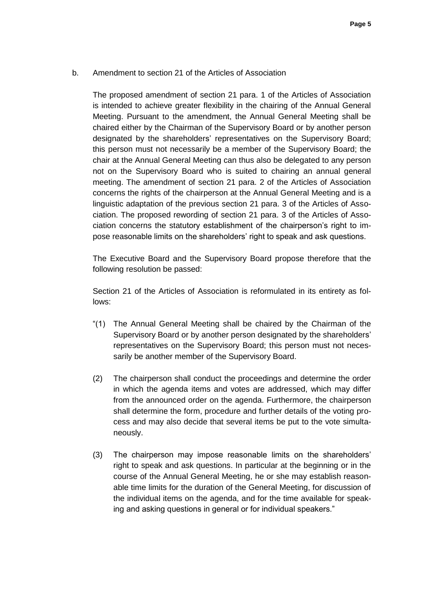b. Amendment to section 21 of the Articles of Association

The proposed amendment of section 21 para. 1 of the Articles of Association is intended to achieve greater flexibility in the chairing of the Annual General Meeting. Pursuant to the amendment, the Annual General Meeting shall be chaired either by the Chairman of the Supervisory Board or by another person designated by the shareholders' representatives on the Supervisory Board; this person must not necessarily be a member of the Supervisory Board; the chair at the Annual General Meeting can thus also be delegated to any person not on the Supervisory Board who is suited to chairing an annual general meeting. The amendment of section 21 para. 2 of the Articles of Association concerns the rights of the chairperson at the Annual General Meeting and is a linguistic adaptation of the previous section 21 para. 3 of the Articles of Association. The proposed rewording of section 21 para. 3 of the Articles of Association concerns the statutory establishment of the chairperson's right to impose reasonable limits on the shareholders' right to speak and ask questions.

The Executive Board and the Supervisory Board propose therefore that the following resolution be passed:

Section 21 of the Articles of Association is reformulated in its entirety as follows:

- "(1) The Annual General Meeting shall be chaired by the Chairman of the Supervisory Board or by another person designated by the shareholders' representatives on the Supervisory Board; this person must not necessarily be another member of the Supervisory Board.
- (2) The chairperson shall conduct the proceedings and determine the order in which the agenda items and votes are addressed, which may differ from the announced order on the agenda. Furthermore, the chairperson shall determine the form, procedure and further details of the voting process and may also decide that several items be put to the vote simultaneously.
- (3) The chairperson may impose reasonable limits on the shareholders' right to speak and ask questions. In particular at the beginning or in the course of the Annual General Meeting, he or she may establish reasonable time limits for the duration of the General Meeting, for discussion of the individual items on the agenda, and for the time available for speaking and asking questions in general or for individual speakers."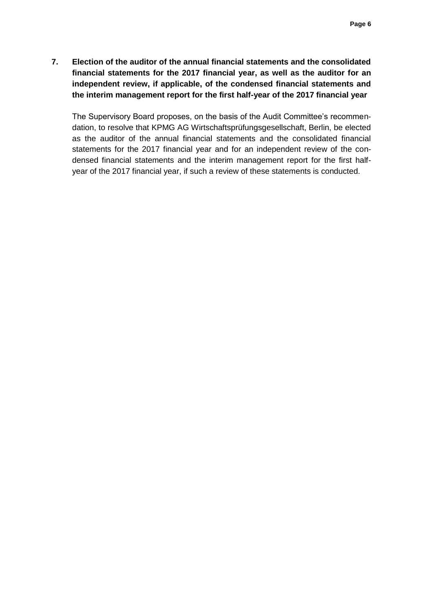**7. Election of the auditor of the annual financial statements and the consolidated financial statements for the 2017 financial year, as well as the auditor for an independent review, if applicable, of the condensed financial statements and the interim management report for the first half-year of the 2017 financial year**

The Supervisory Board proposes, on the basis of the Audit Committee's recommendation, to resolve that KPMG AG Wirtschaftsprüfungsgesellschaft, Berlin, be elected as the auditor of the annual financial statements and the consolidated financial statements for the 2017 financial year and for an independent review of the condensed financial statements and the interim management report for the first halfyear of the 2017 financial year, if such a review of these statements is conducted.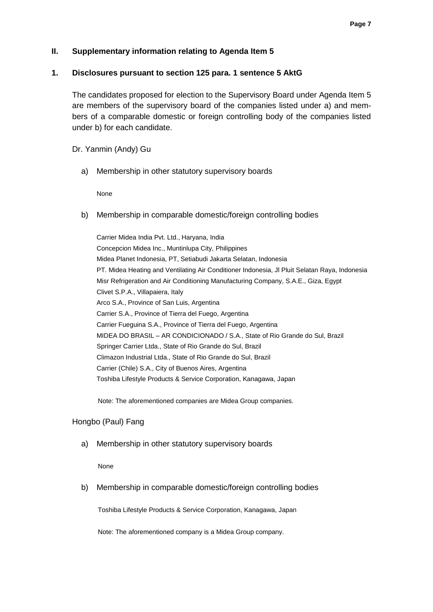### **II. Supplementary information relating to Agenda Item 5**

#### **1. Disclosures pursuant to section 125 para. 1 sentence 5 AktG**

The candidates proposed for election to the Supervisory Board under Agenda Item 5 are members of the supervisory board of the companies listed under a) and members of a comparable domestic or foreign controlling body of the companies listed under b) for each candidate.

Dr. Yanmin (Andy) Gu

a) Membership in other statutory supervisory boards

None

b) Membership in comparable domestic/foreign controlling bodies

Carrier Midea India Pvt. Ltd., Haryana, India Concepcion Midea Inc., Muntinlupa City, Philippines Midea Planet Indonesia, PT, Setiabudi Jakarta Selatan, Indonesia PT. Midea Heating and Ventilating Air Conditioner Indonesia, Jl Pluit Selatan Raya, Indonesia Misr Refrigeration and Air Conditioning Manufacturing Company, S.A.E., Giza, Egypt Clivet S.P.A., Villapaiera, Italy Arco S.A., Province of San Luis, Argentina Carrier S.A., Province of Tierra del Fuego, Argentina Carrier Fueguina S.A., Province of Tierra del Fuego, Argentina MIDEA DO BRASIL – AR CONDICIONADO / S.A., State of Rio Grande do Sul, Brazil Springer Carrier Ltda., State of Rio Grande do Sul, Brazil Climazon Industrial Ltda., State of Rio Grande do Sul, Brazil Carrier (Chile) S.A., City of Buenos Aires, Argentina Toshiba Lifestyle Products & Service Corporation, Kanagawa, Japan

Note: The aforementioned companies are Midea Group companies.

### Hongbo (Paul) Fang

a) Membership in other statutory supervisory boards

None

b) Membership in comparable domestic/foreign controlling bodies

Toshiba Lifestyle Products & Service Corporation, Kanagawa, Japan

Note: The aforementioned company is a Midea Group company.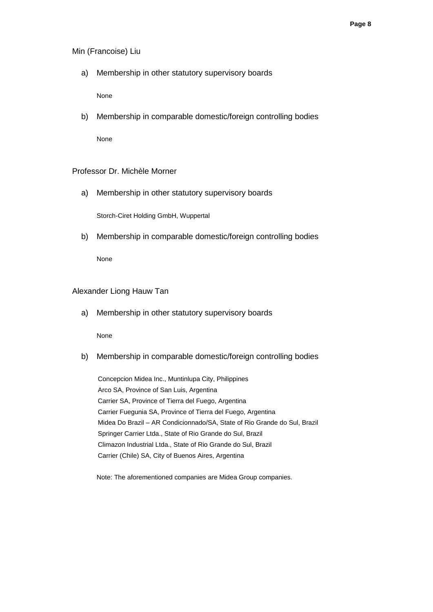#### Min (Francoise) Liu

a) Membership in other statutory supervisory boards

None

b) Membership in comparable domestic/foreign controlling bodies

None

#### Professor Dr. Michèle Morner

a) Membership in other statutory supervisory boards

Storch-Ciret Holding GmbH, Wuppertal

b) Membership in comparable domestic/foreign controlling bodies

None

#### Alexander Liong Hauw Tan

a) Membership in other statutory supervisory boards

None

b) Membership in comparable domestic/foreign controlling bodies

Concepcion Midea Inc., Muntinlupa City, Philippines Arco SA, Province of San Luis, Argentina Carrier SA, Province of Tierra del Fuego, Argentina Carrier Fuegunia SA, Province of Tierra del Fuego, Argentina Midea Do Brazil – AR Condicionnado/SA, State of Rio Grande do Sul, Brazil Springer Carrier Ltda., State of Rio Grande do Sul, Brazil Climazon Industrial Ltda., State of Rio Grande do Sul, Brazil Carrier (Chile) SA, City of Buenos Aires, Argentina

Note: The aforementioned companies are Midea Group companies.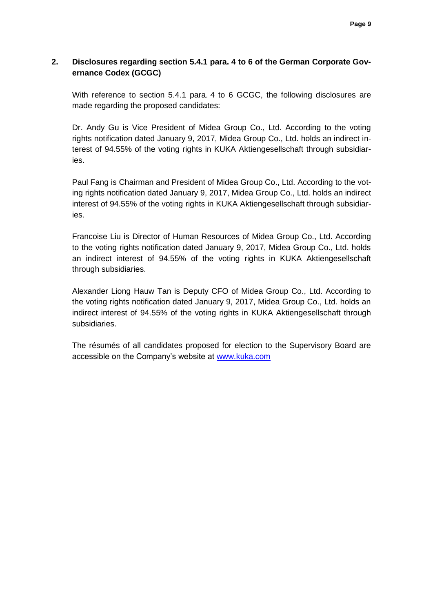### **2. Disclosures regarding section 5.4.1 para. 4 to 6 of the German Corporate Governance Codex (GCGC)**

With reference to section 5.4.1 para. 4 to 6 GCGC, the following disclosures are made regarding the proposed candidates:

Dr. Andy Gu is Vice President of Midea Group Co., Ltd. According to the voting rights notification dated January 9, 2017, Midea Group Co., Ltd. holds an indirect interest of 94.55% of the voting rights in KUKA Aktiengesellschaft through subsidiaries.

Paul Fang is Chairman and President of Midea Group Co., Ltd. According to the voting rights notification dated January 9, 2017, Midea Group Co., Ltd. holds an indirect interest of 94.55% of the voting rights in KUKA Aktiengesellschaft through subsidiaries.

Francoise Liu is Director of Human Resources of Midea Group Co., Ltd. According to the voting rights notification dated January 9, 2017, Midea Group Co., Ltd. holds an indirect interest of 94.55% of the voting rights in KUKA Aktiengesellschaft through subsidiaries.

Alexander Liong Hauw Tan is Deputy CFO of Midea Group Co., Ltd. According to the voting rights notification dated January 9, 2017, Midea Group Co., Ltd. holds an indirect interest of 94.55% of the voting rights in KUKA Aktiengesellschaft through subsidiaries.

The résumés of all candidates proposed for election to the Supervisory Board are accessible on the Company's website at [www.kuka.com](http://www.kuka.com/)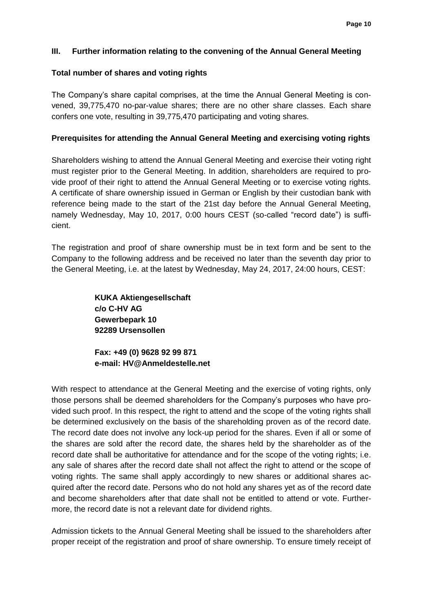### **III. Further information relating to the convening of the Annual General Meeting**

#### **Total number of shares and voting rights**

The Company's share capital comprises, at the time the Annual General Meeting is convened, 39,775,470 no-par-value shares; there are no other share classes. Each share confers one vote, resulting in 39,775,470 participating and voting shares.

#### **Prerequisites for attending the Annual General Meeting and exercising voting rights**

Shareholders wishing to attend the Annual General Meeting and exercise their voting right must register prior to the General Meeting. In addition, shareholders are required to provide proof of their right to attend the Annual General Meeting or to exercise voting rights. A certificate of share ownership issued in German or English by their custodian bank with reference being made to the start of the 21st day before the Annual General Meeting, namely Wednesday, May 10, 2017, 0:00 hours CEST (so-called "record date") is sufficient.

The registration and proof of share ownership must be in text form and be sent to the Company to the following address and be received no later than the seventh day prior to the General Meeting, i.e. at the latest by Wednesday, May 24, 2017, 24:00 hours, CEST:

> **KUKA Aktiengesellschaft c/o C-HV AG Gewerbepark 10 92289 Ursensollen**

**Fax: +49 (0) 9628 92 99 871 e-mail: [HV@Anmeldestelle.net](mailto:HV@Anmeldestelle.net)**

With respect to attendance at the General Meeting and the exercise of voting rights, only those persons shall be deemed shareholders for the Company's purposes who have provided such proof. In this respect, the right to attend and the scope of the voting rights shall be determined exclusively on the basis of the shareholding proven as of the record date. The record date does not involve any lock-up period for the shares. Even if all or some of the shares are sold after the record date, the shares held by the shareholder as of the record date shall be authoritative for attendance and for the scope of the voting rights; i.e. any sale of shares after the record date shall not affect the right to attend or the scope of voting rights. The same shall apply accordingly to new shares or additional shares acquired after the record date. Persons who do not hold any shares yet as of the record date and become shareholders after that date shall not be entitled to attend or vote. Furthermore, the record date is not a relevant date for dividend rights.

Admission tickets to the Annual General Meeting shall be issued to the shareholders after proper receipt of the registration and proof of share ownership. To ensure timely receipt of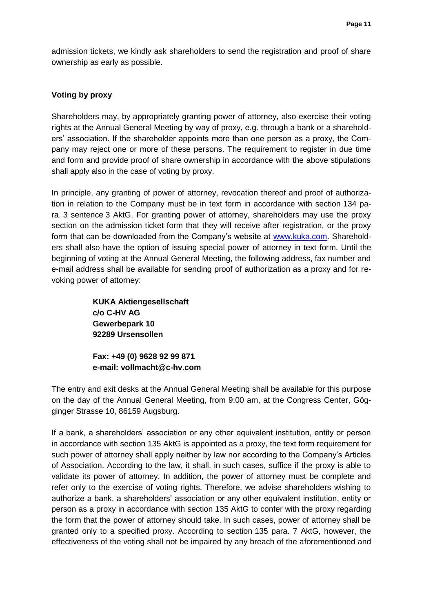admission tickets, we kindly ask shareholders to send the registration and proof of share ownership as early as possible.

### **Voting by proxy**

Shareholders may, by appropriately granting power of attorney, also exercise their voting rights at the Annual General Meeting by way of proxy, e.g. through a bank or a shareholders' association. If the shareholder appoints more than one person as a proxy, the Company may reject one or more of these persons. The requirement to register in due time and form and provide proof of share ownership in accordance with the above stipulations shall apply also in the case of voting by proxy.

In principle, any granting of power of attorney, revocation thereof and proof of authorization in relation to the Company must be in text form in accordance with section 134 para. 3 sentence 3 AktG. For granting power of attorney, shareholders may use the proxy section on the admission ticket form that they will receive after registration, or the proxy form that can be downloaded from the Company's website at [www.kuka.com.](http://www.kuka.com/) Shareholders shall also have the option of issuing special power of attorney in text form. Until the beginning of voting at the Annual General Meeting, the following address, fax number and e-mail address shall be available for sending proof of authorization as a proxy and for revoking power of attorney:

> **KUKA Aktiengesellschaft c/o C-HV AG Gewerbepark 10 92289 Ursensollen**

**Fax: +49 (0) 9628 92 99 871 e-mail: vollmacht@c-hv.com**

The entry and exit desks at the Annual General Meeting shall be available for this purpose on the day of the Annual General Meeting, from 9:00 am, at the Congress Center, Gögginger Strasse 10, 86159 Augsburg.

If a bank, a shareholders' association or any other equivalent institution, entity or person in accordance with section 135 AktG is appointed as a proxy, the text form requirement for such power of attorney shall apply neither by law nor according to the Company's Articles of Association. According to the law, it shall, in such cases, suffice if the proxy is able to validate its power of attorney. In addition, the power of attorney must be complete and refer only to the exercise of voting rights. Therefore, we advise shareholders wishing to authorize a bank, a shareholders' association or any other equivalent institution, entity or person as a proxy in accordance with section 135 AktG to confer with the proxy regarding the form that the power of attorney should take. In such cases, power of attorney shall be granted only to a specified proxy. According to section 135 para. 7 AktG, however, the effectiveness of the voting shall not be impaired by any breach of the aforementioned and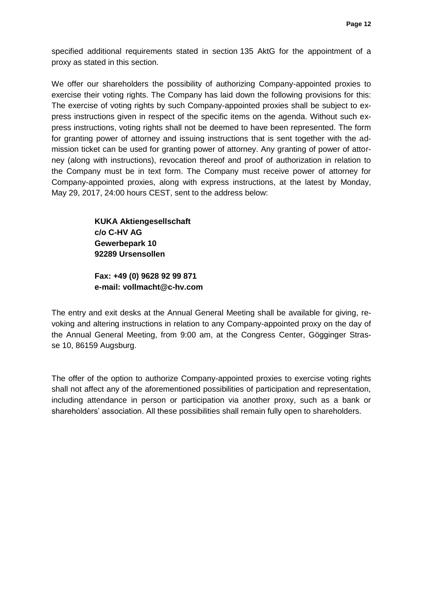specified additional requirements stated in section 135 AktG for the appointment of a proxy as stated in this section.

We offer our shareholders the possibility of authorizing Company-appointed proxies to exercise their voting rights. The Company has laid down the following provisions for this: The exercise of voting rights by such Company-appointed proxies shall be subject to express instructions given in respect of the specific items on the agenda. Without such express instructions, voting rights shall not be deemed to have been represented. The form for granting power of attorney and issuing instructions that is sent together with the admission ticket can be used for granting power of attorney. Any granting of power of attorney (along with instructions), revocation thereof and proof of authorization in relation to the Company must be in text form. The Company must receive power of attorney for Company-appointed proxies, along with express instructions, at the latest by Monday, May 29, 2017, 24:00 hours CEST, sent to the address below:

> **KUKA Aktiengesellschaft c/o C-HV AG Gewerbepark 10 92289 Ursensollen**

**Fax: +49 (0) 9628 92 99 871 e-mail: vollmacht@c-hv.com**

The entry and exit desks at the Annual General Meeting shall be available for giving, revoking and altering instructions in relation to any Company-appointed proxy on the day of the Annual General Meeting, from 9:00 am, at the Congress Center, Gögginger Strasse 10, 86159 Augsburg.

The offer of the option to authorize Company-appointed proxies to exercise voting rights shall not affect any of the aforementioned possibilities of participation and representation, including attendance in person or participation via another proxy, such as a bank or shareholders' association. All these possibilities shall remain fully open to shareholders.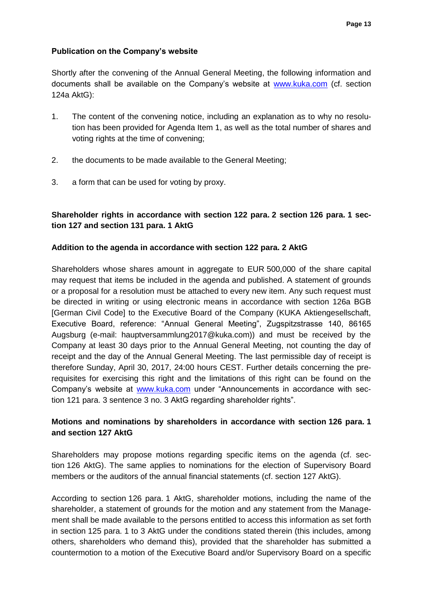### **Publication on the Company's website**

Shortly after the convening of the Annual General Meeting, the following information and documents shall be available on the Company's website at [www.kuka.com](http://www.kuka.com/) (cf. section 124a AktG):

- 1. The content of the convening notice, including an explanation as to why no resolution has been provided for Agenda Item 1, as well as the total number of shares and voting rights at the time of convening;
- 2. the documents to be made available to the General Meeting;
- 3. a form that can be used for voting by proxy.

# **Shareholder rights in accordance with section 122 para. 2 section 126 para. 1 section 127 and section 131 para. 1 AktG**

### **Addition to the agenda in accordance with section 122 para. 2 AktG**

Shareholders whose shares amount in aggregate to EUR 500,000 of the share capital may request that items be included in the agenda and published. A statement of grounds or a proposal for a resolution must be attached to every new item. Any such request must be directed in writing or using electronic means in accordance with section 126a BGB [German Civil Code] to the Executive Board of the Company (KUKA Aktiengesellschaft, Executive Board, reference: "Annual General Meeting", Zugspitzstrasse 140, 86165 Augsburg (e-mail: hauptversammlung2017@kuka.com)) and must be received by the Company at least 30 days prior to the Annual General Meeting, not counting the day of receipt and the day of the Annual General Meeting. The last permissible day of receipt is therefore Sunday, April 30, 2017, 24:00 hours CEST. Further details concerning the prerequisites for exercising this right and the limitations of this right can be found on the Company's website at [www.kuka.com](http://www.kuka.com/) under "Announcements in accordance with section 121 para. 3 sentence 3 no. 3 AktG regarding shareholder rights".

## **Motions and nominations by shareholders in accordance with section 126 para. 1 and section 127 AktG**

Shareholders may propose motions regarding specific items on the agenda (cf. section 126 AktG). The same applies to nominations for the election of Supervisory Board members or the auditors of the annual financial statements (cf. section 127 AktG).

According to section 126 para. 1 AktG, shareholder motions, including the name of the shareholder, a statement of grounds for the motion and any statement from the Management shall be made available to the persons entitled to access this information as set forth in section 125 para. 1 to 3 AktG under the conditions stated therein (this includes, among others, shareholders who demand this), provided that the shareholder has submitted a countermotion to a motion of the Executive Board and/or Supervisory Board on a specific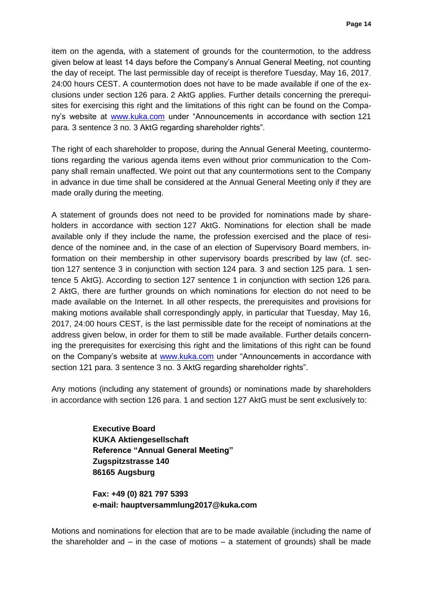item on the agenda, with a statement of grounds for the countermotion, to the address given below at least 14 days before the Company's Annual General Meeting, not counting the day of receipt. The last permissible day of receipt is therefore Tuesday, May 16, 2017, 24:00 hours CEST. A countermotion does not have to be made available if one of the exclusions under section 126 para. 2 AktG applies. Further details concerning the prerequisites for exercising this right and the limitations of this right can be found on the Company's website at [www.kuka.com](http://www.kuka.com/) under "Announcements in accordance with section 121 para. 3 sentence 3 no. 3 AktG regarding shareholder rights".

The right of each shareholder to propose, during the Annual General Meeting, countermotions regarding the various agenda items even without prior communication to the Company shall remain unaffected. We point out that any countermotions sent to the Company in advance in due time shall be considered at the Annual General Meeting only if they are made orally during the meeting.

A statement of grounds does not need to be provided for nominations made by shareholders in accordance with section 127 AktG. Nominations for election shall be made available only if they include the name, the profession exercised and the place of residence of the nominee and, in the case of an election of Supervisory Board members, information on their membership in other supervisory boards prescribed by law (cf. section 127 sentence 3 in conjunction with section 124 para. 3 and section 125 para. 1 sentence 5 AktG). According to section 127 sentence 1 in conjunction with section 126 para. 2 AktG, there are further grounds on which nominations for election do not need to be made available on the Internet. In all other respects, the prerequisites and provisions for making motions available shall correspondingly apply, in particular that Tuesday, May 16, 2017, 24:00 hours CEST, is the last permissible date for the receipt of nominations at the address given below, in order for them to still be made available. Further details concerning the prerequisites for exercising this right and the limitations of this right can be found on the Company's website at [www.kuka.com](http://www.kuka.com/) under "Announcements in accordance with section 121 para. 3 sentence 3 no. 3 AktG regarding shareholder rights".

Any motions (including any statement of grounds) or nominations made by shareholders in accordance with section 126 para. 1 and section 127 AktG must be sent exclusively to:

> **Executive Board KUKA Aktiengesellschaft Reference "Annual General Meeting" Zugspitzstrasse 140 86165 Augsburg**

**Fax: +49 (0) 821 797 5393 e-mail: hauptversammlung2017@kuka.com**

Motions and nominations for election that are to be made available (including the name of the shareholder and  $-$  in the case of motions  $-$  a statement of grounds) shall be made